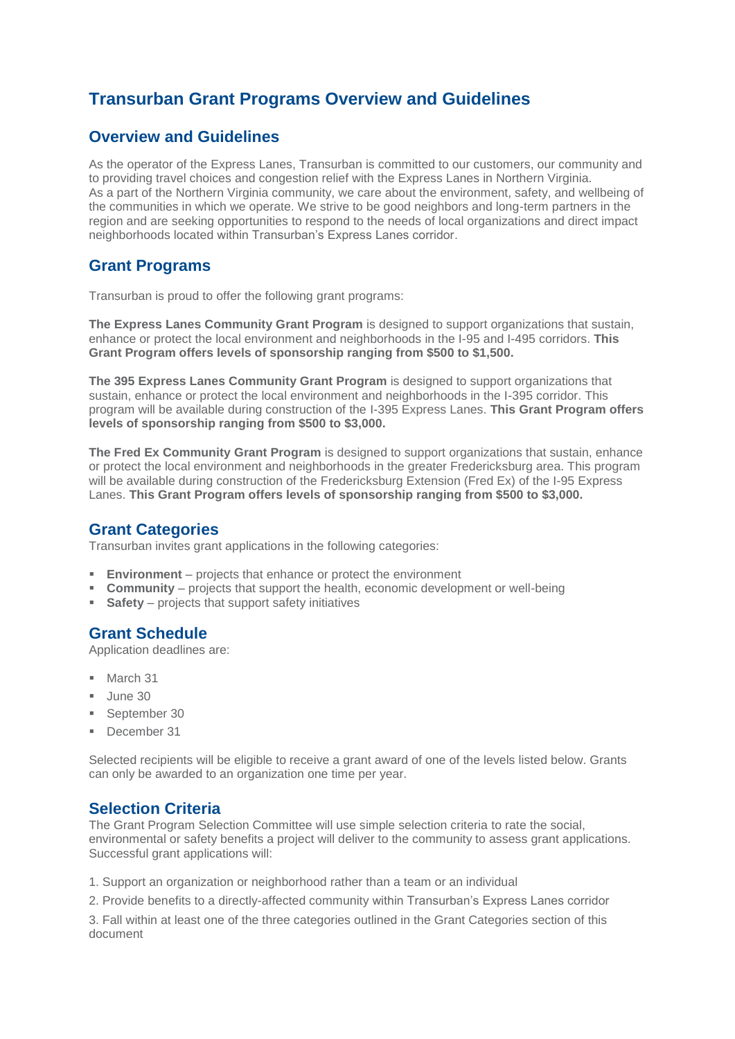# **Transurban Grant Programs Overview and Guidelines**

# **Overview and Guidelines**

As the operator of the Express Lanes, Transurban is committed to our customers, our community and to providing travel choices and congestion relief with the Express Lanes in Northern Virginia. As a part of the Northern Virginia community, we care about the environment, safety, and wellbeing of the communities in which we operate. We strive to be good neighbors and long-term partners in the region and are seeking opportunities to respond to the needs of local organizations and direct impact neighborhoods located within Transurban's Express Lanes corridor.

## **Grant Programs**

Transurban is proud to offer the following grant programs:

**The Express Lanes Community Grant Program** is designed to support organizations that sustain, enhance or protect the local environment and neighborhoods in the I-95 and I-495 corridors. **This Grant Program offers levels of sponsorship ranging from \$500 to \$1,500.** 

**The 395 Express Lanes Community Grant Program** is designed to support organizations that sustain, enhance or protect the local environment and neighborhoods in the I-395 corridor. This program will be available during construction of the I-395 Express Lanes. **This Grant Program offers levels of sponsorship ranging from \$500 to \$3,000.**

**The Fred Ex Community Grant Program** is designed to support organizations that sustain, enhance or protect the local environment and neighborhoods in the greater Fredericksburg area. This program will be available during construction of the Fredericksburg Extension (Fred Ex) of the I-95 Express Lanes. **This Grant Program offers levels of sponsorship ranging from \$500 to \$3,000.**

#### **Grant Categories**

Transurban invites grant applications in the following categories:

- **Environment** projects that enhance or protect the environment
- **Community** projects that support the health, economic development or well-being
- **Safety** projects that support safety initiatives

#### **Grant Schedule**

Application deadlines are:

- **March 31**
- Uune 30
- September 30
- December 31

Selected recipients will be eligible to receive a grant award of one of the levels listed below. Grants can only be awarded to an organization one time per year.

#### **Selection Criteria**

The Grant Program Selection Committee will use simple selection criteria to rate the social, environmental or safety benefits a project will deliver to the community to assess grant applications. Successful grant applications will:

1. Support an organization or neighborhood rather than a team or an individual

2. Provide benefits to a directly-affected community within Transurban's Express Lanes corridor

3. Fall within at least one of the three categories outlined in the Grant Categories section of this document